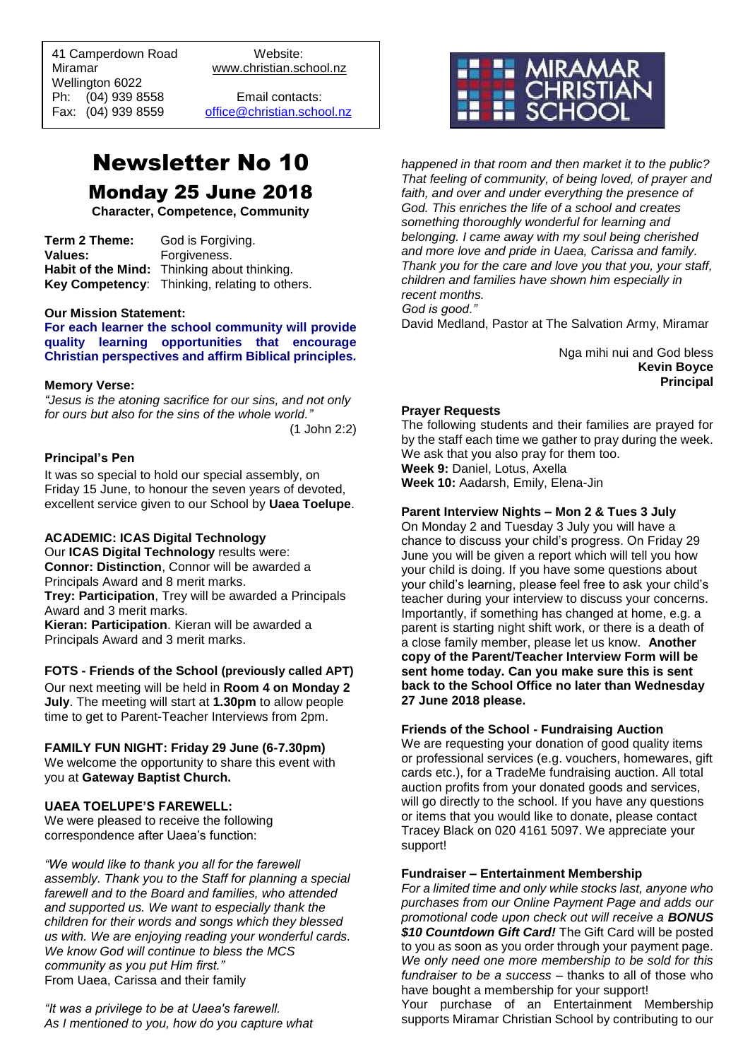41 Camperdown Road Website:<br>Miramar Www.christian.sc Wellington 6022 Ph: (04) 939 8558 Email contacts:

 $\overline{a}$ 

www.christian.school.nz

Fax: (04) 939 8559 [office@christian.school.nz](mailto:office@christian.school.nz)

# Newsletter No 10 Monday 25 June 2018

**Character, Competence, Community**

**Term 2 Theme:** God is Forgiving. **Values:** Forgiveness. **Habit of the Mind:** Thinking about thinking. **Key Competency**: Thinking, relating to others.

### **Our Mission Statement:**

**For each learner the school community will provide quality learning opportunities that encourage Christian perspectives and affirm Biblical principles***.*

### **Memory Verse:**

*"Jesus is the atoning sacrifice for our sins, and not only for ours but also for the sins of the whole world."* (1 John 2:2)

### **Principal's Pen**

It was so special to hold our special assembly, on Friday 15 June, to honour the seven years of devoted, excellent service given to our School by **Uaea Toelupe**.

#### **ACADEMIC: ICAS Digital Technology**

Our **ICAS Digital Technology** results were: **Connor: Distinction**, Connor will be awarded a Principals Award and 8 merit marks. **Trey: Participation**, Trey will be awarded a Principals Award and 3 merit marks. **Kieran: Participation**. Kieran will be awarded a Principals Award and 3 merit marks.

**FOTS - Friends of the School (previously called APT)** Our next meeting will be held in **Room 4 on Monday 2 July**. The meeting will start at **1.30pm** to allow people time to get to Parent-Teacher Interviews from 2pm.

#### **FAMILY FUN NIGHT: Friday 29 June (6-7.30pm)**

We welcome the opportunity to share this event with you at **Gateway Baptist Church.**

### **UAEA TOELUPE'S FAREWELL:**

We were pleased to receive the following correspondence after Uaea's function:

*"We would like to thank you all for the farewell assembly. Thank you to the Staff for planning a special farewell and to the Board and families, who attended and supported us. We want to especially thank the children for their words and songs which they blessed us with. We are enjoying reading your wonderful cards. We know God will continue to bless the MCS community as you put Him first."* From Uaea, Carissa and their family

*"It was a privilege to be at Uaea's farewell. As I mentioned to you, how do you capture what* 



*happened in that room and then market it to the public? That feeling of community, of being loved, of prayer and faith, and over and under everything the presence of God. This enriches the life of a school and creates something thoroughly wonderful for learning and belonging. I came away with my soul being cherished and more love and pride in Uaea, Carissa and family. Thank you for the care and love you that you, your staff, children and families have shown him especially in recent months. God is good."*

David Medland, Pastor at The Salvation Army, Miramar

Nga mihi nui and God bless **Kevin Boyce Principal**

#### **Prayer Requests**

The following students and their families are prayed for by the staff each time we gather to pray during the week. We ask that you also pray for them too. **Week 9:** Daniel, Lotus, Axella

**Week 10:** Aadarsh, Emily, Elena-Jin

### **Parent Interview Nights – Mon 2 & Tues 3 July**

On Monday 2 and Tuesday 3 July you will have a chance to discuss your child's progress. On Friday 29 June you will be given a report which will tell you how your child is doing. If you have some questions about your child's learning, please feel free to ask your child's teacher during your interview to discuss your concerns. Importantly, if something has changed at home, e.g. a parent is starting night shift work, or there is a death of a close family member, please let us know. **Another copy of the Parent/Teacher Interview Form will be sent home today. Can you make sure this is sent back to the School Office no later than Wednesday 27 June 2018 please.**

### **Friends of the School - Fundraising Auction**

We are requesting your donation of good quality items or professional services (e.g. vouchers, homewares, gift cards etc.), for a TradeMe fundraising auction. All total auction profits from your donated goods and services, will go directly to the school. If you have any questions or items that you would like to donate, please contact Tracey Black on 020 4161 5097. We appreciate your support!

### **Fundraiser – Entertainment Membership**

*For a limited time and only while stocks last, anyone who purchases from our Online Payment Page and adds our promotional code upon check out will receive a BONUS \$10 Countdown Gift Card!* The Gift Card will be posted to you as soon as you order through your payment page. *We only need one more membership to be sold for this fundraiser to be a success* – thanks to all of those who have bought a membership for your support!

Your purchase of an Entertainment Membership supports Miramar Christian School by contributing to our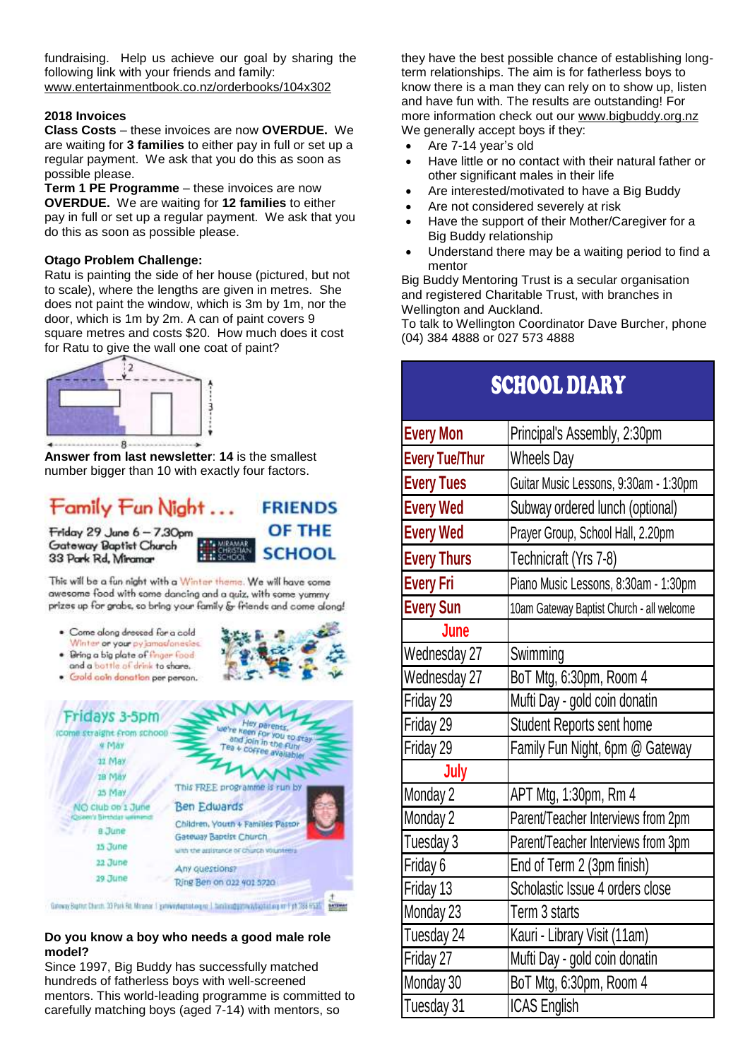fundraising. Help us achieve our goal by sharing the following link with your friends and family: [www.entertainmentbook.co.nz/orderbooks/104x302](http://www.entertainmentbook.co.nz/orderbooks/104x302)

# **2018 Invoices**

**Class Costs** – these invoices are now **OVERDUE.** We are waiting for **3 families** to either pay in full or set up a regular payment. We ask that you do this as soon as possible please.

**Term 1 PE Programme** – these invoices are now **OVERDUE.** We are waiting for **12 families** to either pay in full or set up a regular payment. We ask that you do this as soon as possible please.

# **Otago Problem Challenge:**

Ratu is painting the side of her house (pictured, but not to scale), where the lengths are given in metres. She does not paint the window, which is 3m by 1m, nor the door, which is 1m by 2m. A can of paint covers 9 square metres and costs \$20. How much does it cost for Ratu to give the wall one coat of paint?



**Answer from last newsletter**: **14** is the smallest number bigger than 10 with exactly four factors.

#### Family Fun Night ... **FRIENDS OF THE** Friday 29 June 6 - 7.30pm

Gateway Baptist Church 33 Park Rd, Miramar



This will be a fan night with a Winter theme. We will have some awesome food with some dancing and a quiz, with some yummy prizes up for grabs, so bring your family & friends and come along!

- · Come along dressed for a cold Winter or your py jamas/onesies.
- · Bring a big plate of finger food and a bottle of drink to chare.
- Gold coin danation per person.



Galeway Bupton Charott, 23 Park Rd, Miranar 1 gettwinytagtableg en 1 tambinggarsway bastid arg on 1 yrs 288 mails and the

# **Do you know a boy who needs a good male role model?**

Since 1997, Big Buddy has successfully matched hundreds of fatherless boys with well-screened mentors. This world-leading programme is committed to carefully matching boys (aged 7-14) with mentors, so

they have the best possible chance of establishing longterm relationships. The aim is for fatherless boys to know there is a man they can rely on to show up, listen and have fun with. The results are outstanding! For more information check out our [www.bigbuddy.org.nz](http://www.bigbuddy.org.nz/) We generally accept boys if they:

- Are 7-14 year's old
- Have little or no contact with their natural father or other significant males in their life
- Are interested/motivated to have a Big Buddy
- Are not considered severely at risk
- Have the support of their Mother/Caregiver for a Big Buddy relationship
- Understand there may be a waiting period to find a mentor

Big Buddy Mentoring Trust is a secular organisation and registered Charitable Trust, with branches in Wellington and Auckland.

To talk to Wellington Coordinator Dave Burcher, phone (04) 384 4888 or 027 573 4888

| SCHOOL DIARY          |                                           |
|-----------------------|-------------------------------------------|
| <b>Every Mon</b>      | Principal's Assembly, 2:30pm              |
| <b>Every Tue/Thur</b> | <b>Wheels Day</b>                         |
| <b>Every Tues</b>     | Guitar Music Lessons, 9:30am - 1:30pm     |
| <b>Every Wed</b>      | Subway ordered lunch (optional)           |
| <b>Every Wed</b>      | Prayer Group, School Hall, 2.20pm         |
| <b>Every Thurs</b>    | Technicraft (Yrs 7-8)                     |
| <b>Every Fri</b>      | Piano Music Lessons, 8:30am - 1:30pm      |
| <b>Every Sun</b>      | 10am Gateway Baptist Church - all welcome |
| June                  |                                           |
| Wednesday 27          | Swimming                                  |
| Wednesday 27          | BoT Mtg, 6:30pm, Room 4                   |
| Friday 29             | Mufti Day - gold coin donatin             |
| Friday 29             | Student Reports sent home                 |
| Friday 29             | Family Fun Night, 6pm @ Gateway           |
| July                  |                                           |
| Monday 2              | APT Mtg, 1:30pm, Rm 4                     |
| Monday 2              | Parent/Teacher Interviews from 2pm        |
| Tuesday 3             | Parent/Teacher Interviews from 3pm        |
| Friday 6              | End of Term 2 (3pm finish)                |
| Friday 13             | Scholastic Issue 4 orders close           |
| Monday 23             | Term 3 starts                             |
| Tuesday 24            | Kauri - Library Visit (11am)              |
| Friday 27             | Mufti Day - gold coin donatin             |
| Monday 30             | BoT Mtg, 6:30pm, Room 4                   |
| Tuesday 31            | <b>ICAS English</b>                       |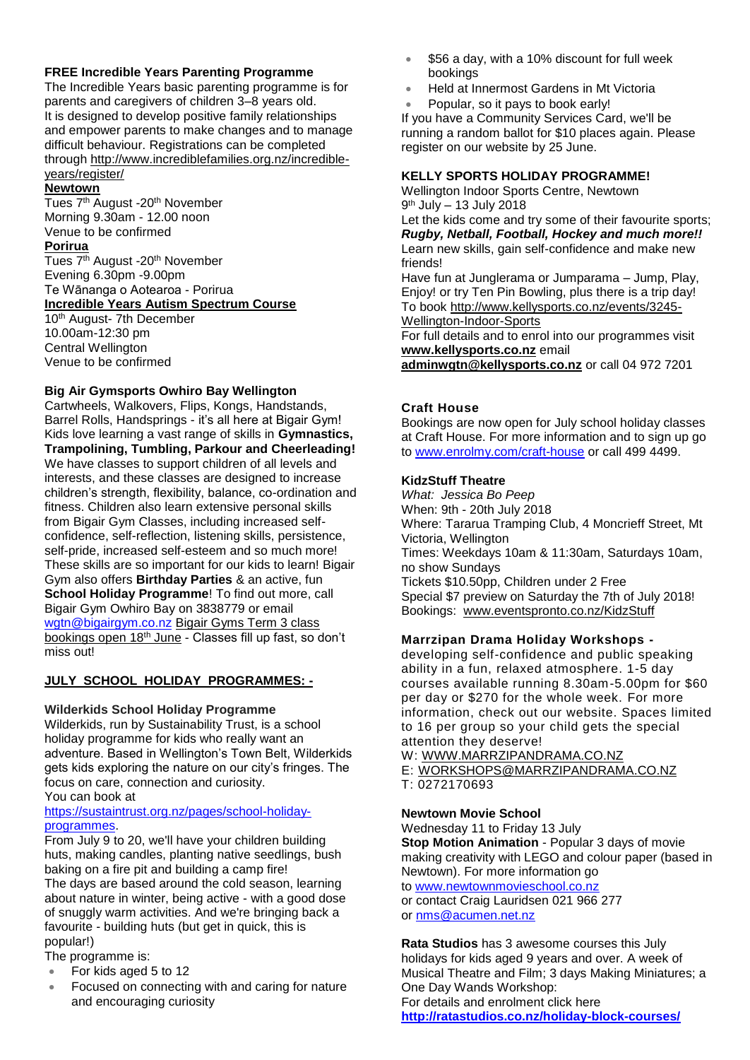# **FREE Incredible Years Parenting Programme**

The Incredible Years basic parenting programme is for parents and caregivers of children 3–8 years old. It is designed to develop positive family relationships and empower parents to make changes and to manage difficult behaviour. Registrations can be completed through [http://www.incrediblefamilies.org.nz/incredible](http://www.incrediblefamilies.org.nz/incredible-years/register/)[years/register/](http://www.incrediblefamilies.org.nz/incredible-years/register/)

# **Newtown**

Tues 7<sup>th</sup> August -20<sup>th</sup> November Morning 9.30am - 12.00 noon Venue to be confirmed

# **Porirua**

Tues 7<sup>th</sup> August -20<sup>th</sup> November Evening 6.30pm -9.00pm Te Wānanga o Aotearoa - Porirua **Incredible Years Autism Spectrum Course** 

# 10<sup>th</sup> August- 7th December

10.00am-12:30 pm Central Wellington Venue to be confirmed

# **Big Air Gymsports Owhiro Bay Wellington**

Cartwheels, Walkovers, Flips, Kongs, Handstands, Barrel Rolls, Handsprings - it's all here at Bigair Gym! Kids love learning a vast range of skills in **Gymnastics, Trampolining, Tumbling, Parkour and Cheerleading!** We have classes to support children of all levels and interests, and these classes are designed to increase children's strength, flexibility, balance, co-ordination and fitness. Children also learn extensive personal skills from Bigair Gym Classes, including increased selfconfidence, self-reflection, listening skills, persistence, self-pride, increased self-esteem and so much more! These skills are so important for our kids to learn! Bigair Gym also offers **Birthday Parties** & an active, fun **School Holiday Programme**! To find out more, call Bigair Gym Owhiro Bay on 3838779 or email [wgtn@bigairgym.co.nz](mailto:wgtn@bigairgym.co.nz) Bigair Gyms Term 3 class bookings open 18<sup>th</sup> June - Classes fill up fast, so don't miss out!

# **JULY SCHOOL HOLIDAY PROGRAMMES: -**

# **Wilderkids School Holiday Programme**

Wilderkids, run by Sustainability Trust, is a school holiday programme for kids who really want an adventure. Based in Wellington's Town Belt, Wilderkids gets kids exploring the nature on our city's fringes. The focus on care, connection and curiosity. You can book at

### [https://sustaintrust.org.nz/pages/school-holiday](https://sustaintrust.org.nz/pages/school-holiday-programmes)[programmes.](https://sustaintrust.org.nz/pages/school-holiday-programmes)

From July 9 to 20, we'll have your children building huts, making candles, planting native seedlings, bush baking on a fire pit and building a camp fire! The days are based around the cold season, learning about nature in winter, being active - with a good dose of snuggly warm activities. And we're bringing back a favourite - building huts (but get in quick, this is popular!)

The programme is:

- For kids aged 5 to 12
- Focused on connecting with and caring for nature and encouraging curiosity
- \$56 a day, with a 10% discount for full week bookings
- Held at Innermost Gardens in Mt Victoria
- Popular, so it pays to book early!

If you have a Community Services Card, we'll be running a random ballot for \$10 places again. Please register on our website by 25 June.

### **KELLY SPORTS HOLIDAY PROGRAMME!**

Wellington Indoor Sports Centre, Newtown 9 th July – 13 July 2018

Let the kids come and try some of their favourite sports; *Rugby, Netball, Football, Hockey and much more!!* Learn new skills, gain self-confidence and make new friends!

Have fun at Junglerama or Jumparama – Jump, Play, Enjoy! or try Ten Pin Bowling, plus there is a trip day! To book [http://www.kellysports.co.nz/events/3245-](http://www.kellysports.co.nz/events/3245-Wellington-Indoor-Sports) [Wellington-Indoor-Sports](http://www.kellysports.co.nz/events/3245-Wellington-Indoor-Sports)

For full details and to enrol into our programmes visit **[www.kellysports.co.nz](http://www.kellysports.co.nz/)** email

**[adminwgtn@kellysports.co.nz](mailto:adminwgtn@kellysports.co.nz)** or call 04 972 7201

# **Craft House**

Bookings are now open for July school holiday classes at Craft House. For more information and to sign up go to [www.enrolmy.com/craft-house](http://www.enrolmy.com/craft-house) or call 499 4499.

### **KidzStuff Theatre**

*What: Jessica Bo Peep* When: 9th - 20th July 2018 Where: Tararua Tramping Club, 4 Moncrieff Street, Mt Victoria, Wellington Times: Weekdays 10am & 11:30am, Saturdays 10am, no show Sundays Tickets \$10.50pp, Children under 2 Free Special \$7 preview on Saturday the 7th of July 2018! Bookings: [www.eventspronto.co.nz/KidzStuff](http://www.kidzstufftheatre.co.nz/)

# **Marrzipan Drama Holiday Workshops -**

developing self-confidence and public speaking ability in a fun, relaxed atmosphere. 1-5 day courses available running 8.30am-5.00pm for \$60 per day or \$270 for the whole week. For more information, check out our website. Spaces limited to 16 per group so your child gets the special attention they deserve!

W: [WWW.MARRZIPANDRAMA.CO.NZ](http://www.marrzipandrama.co.nz/) E: [WORKSHOPS@MARRZIPANDRAMA.CO.NZ](mailto:workshops@marrzipandrama.co.nz) T: 0272170693

# **Newtown Movie School**

Wednesday 11 to Friday 13 July **Stop Motion Animation** - Popular 3 days of movie making creativity with LEGO and colour paper (based in Newtown). For more information go to [www.newtownmovieschool.co.nz](http://www.newtownmovieschool.co.nz/) or contact Craig Lauridsen 021 966 277 or [nms@acumen.net.nz](mailto:nms@acumen.net.nz)

**Rata Studios** has 3 awesome courses this July holidays for kids aged 9 years and over. A week of Musical Theatre and Film; 3 days Making Miniatures; a One Day Wands Workshop: For details and enrolment click here **<http://ratastudios.co.nz/holiday-block-courses/>**